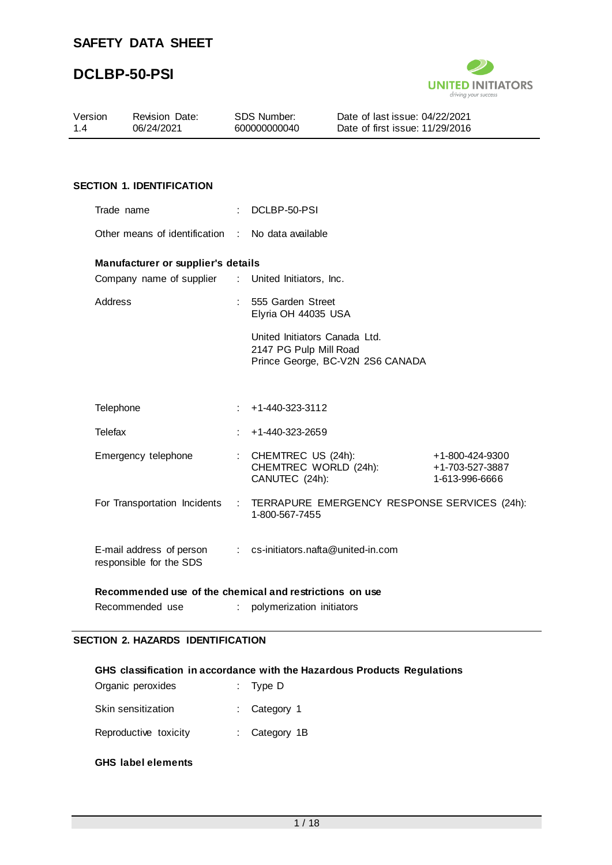

| Version<br>1.4 | <b>Revision Date:</b><br>06/24/2021                     | <b>SDS Number:</b><br>600000000040 |                                                               | Date of last issue: 04/22/2021<br>Date of first issue: 11/29/2016 |                                                      |
|----------------|---------------------------------------------------------|------------------------------------|---------------------------------------------------------------|-------------------------------------------------------------------|------------------------------------------------------|
|                |                                                         |                                    |                                                               |                                                                   |                                                      |
|                | <b>SECTION 1. IDENTIFICATION</b>                        |                                    |                                                               |                                                                   |                                                      |
|                | Trade name                                              |                                    | DCLBP-50-PSI                                                  |                                                                   |                                                      |
|                | Other means of identification :                         |                                    | No data available                                             |                                                                   |                                                      |
|                | Manufacturer or supplier's details                      |                                    |                                                               |                                                                   |                                                      |
|                | Company name of supplier                                |                                    | : United Initiators, Inc.                                     |                                                                   |                                                      |
| Address        |                                                         |                                    | 555 Garden Street<br>Elyria OH 44035 USA                      |                                                                   |                                                      |
|                |                                                         |                                    | United Initiators Canada Ltd.<br>2147 PG Pulp Mill Road       | Prince George, BC-V2N 2S6 CANADA                                  |                                                      |
| Telephone      |                                                         | ÷                                  | +1-440-323-3112                                               |                                                                   |                                                      |
| Telefax        |                                                         |                                    | +1-440-323-2659                                               |                                                                   |                                                      |
|                | Emergency telephone                                     |                                    | CHEMTREC US (24h):<br>CHEMTREC WORLD (24h):<br>CANUTEC (24h): |                                                                   | +1-800-424-9300<br>+1-703-527-3887<br>1-613-996-6666 |
|                | For Transportation Incidents                            | $\mathcal{L}_{\mathrm{max}}$       | 1-800-567-7455                                                |                                                                   | TERRAPURE EMERGENCY RESPONSE SERVICES (24h):         |
|                | E-mail address of person<br>responsible for the SDS     |                                    | : cs-initiators.nafta@united-in.com                           |                                                                   |                                                      |
|                | Recommended use of the chemical and restrictions on use |                                    |                                                               |                                                                   |                                                      |
|                | Recommended use                                         |                                    | polymerization initiators                                     |                                                                   |                                                      |

#### **SECTION 2. HAZARDS IDENTIFICATION**

#### **GHS classification in accordance with the Hazardous Products Regulations**

| Organic peroxides     | : Type $D$              |  |
|-----------------------|-------------------------|--|
| Skin sensitization    | $\therefore$ Category 1 |  |
| Reproductive toxicity | : Category 1B           |  |

### **GHS label elements**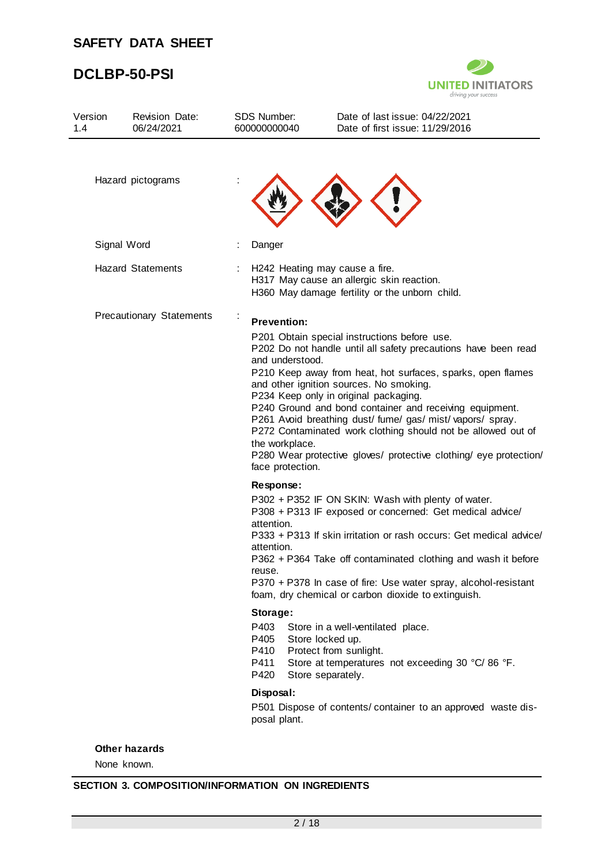# **DCLBP-50-PSI**



| Version<br>1.4                  | <b>Revision Date:</b><br>06/24/2021 | <b>SDS Number:</b><br>600000000040                                                                               |                                                                             | Date of last issue: 04/22/2021<br>Date of first issue: 11/29/2016                                                                                                                                                                                                                                                                                                                                                                                                                                                               |
|---------------------------------|-------------------------------------|------------------------------------------------------------------------------------------------------------------|-----------------------------------------------------------------------------|---------------------------------------------------------------------------------------------------------------------------------------------------------------------------------------------------------------------------------------------------------------------------------------------------------------------------------------------------------------------------------------------------------------------------------------------------------------------------------------------------------------------------------|
|                                 | Hazard pictograms                   |                                                                                                                  |                                                                             |                                                                                                                                                                                                                                                                                                                                                                                                                                                                                                                                 |
|                                 | Signal Word                         | Danger                                                                                                           |                                                                             |                                                                                                                                                                                                                                                                                                                                                                                                                                                                                                                                 |
|                                 | <b>Hazard Statements</b>            |                                                                                                                  |                                                                             | H242 Heating may cause a fire.<br>H317 May cause an allergic skin reaction.<br>H360 May damage fertility or the unborn child.                                                                                                                                                                                                                                                                                                                                                                                                   |
| <b>Precautionary Statements</b> |                                     |                                                                                                                  | <b>Prevention:</b><br>and understood.<br>the workplace.<br>face protection. | P201 Obtain special instructions before use.<br>P202 Do not handle until all safety precautions have been read<br>P210 Keep away from heat, hot surfaces, sparks, open flames<br>and other ignition sources. No smoking.<br>P234 Keep only in original packaging.<br>P240 Ground and bond container and receiving equipment.<br>P261 Avoid breathing dust/ fume/ gas/ mist/ vapors/ spray.<br>P272 Contaminated work clothing should not be allowed out of<br>P280 Wear protective gloves/ protective clothing/ eye protection/ |
|                                 |                                     | Response:<br>attention.<br>attention.<br>reuse.<br>Storage:<br>P403<br>P405<br>P410<br>P411<br>P420<br>Disposal: | Store locked up.<br>Store separately.                                       | P302 + P352 IF ON SKIN: Wash with plenty of water.<br>P308 + P313 IF exposed or concerned: Get medical advice/<br>P333 + P313 If skin irritation or rash occurs: Get medical advice/<br>P362 + P364 Take off contaminated clothing and wash it before<br>P370 + P378 In case of fire: Use water spray, alcohol-resistant<br>foam, dry chemical or carbon dioxide to extinguish.<br>Store in a well-ventilated place.<br>Protect from sunlight.<br>Store at temperatures not exceeding 30 °C/86 °F.                              |
|                                 |                                     | posal plant.                                                                                                     |                                                                             | P501 Dispose of contents/ container to an approved waste dis-                                                                                                                                                                                                                                                                                                                                                                                                                                                                   |

### **Other hazards**

None known.

### **SECTION 3. COMPOSITION/INFORMATION ON INGREDIENTS**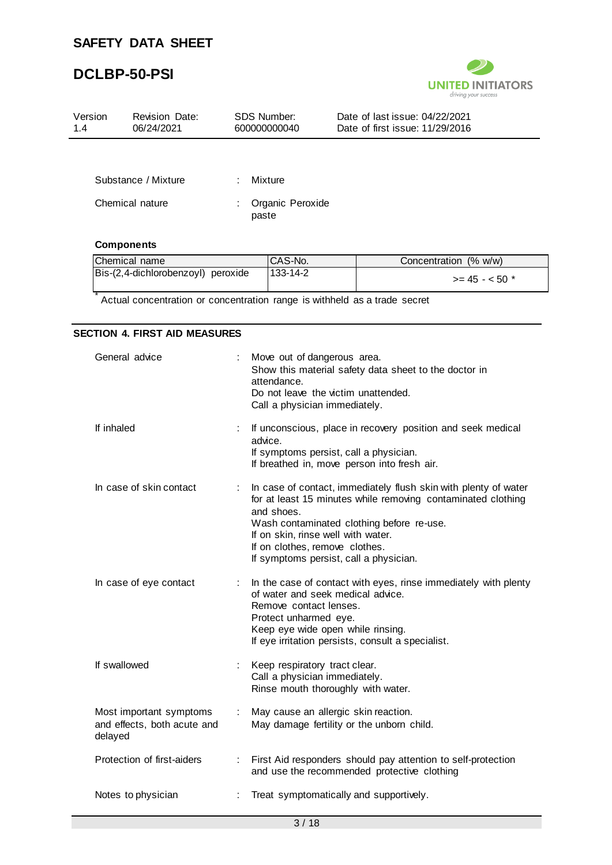## **DCLBP-50-PSI**



| Version<br>1.4  | <b>Revision Date:</b><br>06/24/2021 |   | <b>SDS Number:</b><br>600000000040         | Date of last issue: 04/22/2021<br>Date of first issue: 11/29/2016 |  |
|-----------------|-------------------------------------|---|--------------------------------------------|-------------------------------------------------------------------|--|
|                 |                                     |   |                                            |                                                                   |  |
|                 | Substance / Mixture                 | ÷ | Mixture                                    |                                                                   |  |
| Chemical nature |                                     |   | Organic Peroxide<br>paste                  |                                                                   |  |
|                 | <b>Components</b>                   |   |                                            |                                                                   |  |
|                 | Chamical name                       |   | $\cap$ $\triangle$ $\triangle$ $\triangle$ | Concentration (% w/w)                                             |  |

| Chemical name                      | ICAS-No.       | Concentration (% w/w) |
|------------------------------------|----------------|-----------------------|
| Bis-(2,4-dichlorobenzoyl) peroxide | $133 - 14 - 2$ | $>= 45 - 50$ *        |

\* Actual concentration or concentration range is withheld as a trade secret

#### **SECTION 4. FIRST AID MEASURES**

| General advice                                                    |    | Move out of dangerous area.<br>Show this material safety data sheet to the doctor in<br>attendance.<br>Do not leave the victim unattended.<br>Call a physician immediately.                                                                                                                                  |
|-------------------------------------------------------------------|----|--------------------------------------------------------------------------------------------------------------------------------------------------------------------------------------------------------------------------------------------------------------------------------------------------------------|
| If inhaled                                                        |    | If unconscious, place in recovery position and seek medical<br>advice.<br>If symptoms persist, call a physician.<br>If breathed in, move person into fresh air.                                                                                                                                              |
| In case of skin contact                                           | ÷  | In case of contact, immediately flush skin with plenty of water<br>for at least 15 minutes while removing contaminated clothing<br>and shoes.<br>Wash contaminated clothing before re-use.<br>If on skin, rinse well with water.<br>If on clothes, remove clothes.<br>If symptoms persist, call a physician. |
| In case of eye contact                                            |    | In the case of contact with eyes, rinse immediately with plenty<br>of water and seek medical advice.<br>Remove contact lenses.<br>Protect unharmed eye.<br>Keep eye wide open while rinsing.<br>If eye irritation persists, consult a specialist.                                                            |
| If swallowed                                                      |    | Keep respiratory tract clear.<br>Call a physician immediately.<br>Rinse mouth thoroughly with water.                                                                                                                                                                                                         |
| Most important symptoms<br>and effects, both acute and<br>delayed | t. | May cause an allergic skin reaction.<br>May damage fertility or the unborn child.                                                                                                                                                                                                                            |
| Protection of first-aiders                                        |    | First Aid responders should pay attention to self-protection<br>and use the recommended protective clothing                                                                                                                                                                                                  |
| Notes to physician                                                |    | Treat symptomatically and supportively.                                                                                                                                                                                                                                                                      |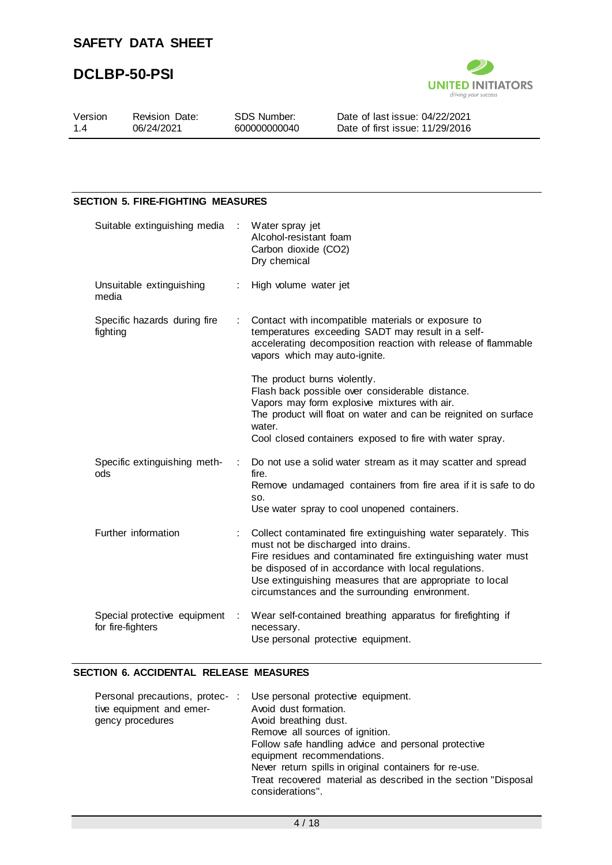

| Version | <b>Revision Date:</b> | SDS Number:  | Date of last issue: 04/22/2021    |
|---------|-----------------------|--------------|-----------------------------------|
| 14      | 06/24/2021            | 600000000040 | Date of first issue: $11/29/2016$ |
|         |                       |              |                                   |

#### **SECTION 5. FIRE-FIGHTING MEASURES**

| Suitable extinguishing media                      | $\sim 10^{-1}$ | Water spray jet<br>Alcohol-resistant foam<br>Carbon dioxide (CO2)<br>Dry chemical                                                                                                                                                                                                                                                           |
|---------------------------------------------------|----------------|---------------------------------------------------------------------------------------------------------------------------------------------------------------------------------------------------------------------------------------------------------------------------------------------------------------------------------------------|
| Unsuitable extinguishing<br>media                 |                | High volume water jet                                                                                                                                                                                                                                                                                                                       |
| Specific hazards during fire<br>fighting          | ÷.             | Contact with incompatible materials or exposure to<br>temperatures exceeding SADT may result in a self-<br>accelerating decomposition reaction with release of flammable<br>vapors which may auto-ignite.                                                                                                                                   |
|                                                   |                | The product burns violently.<br>Flash back possible over considerable distance.<br>Vapors may form explosive mixtures with air.<br>The product will float on water and can be reignited on surface<br>water.<br>Cool closed containers exposed to fire with water spray.                                                                    |
| Specific extinguishing meth-<br>ods               | ÷              | Do not use a solid water stream as it may scatter and spread<br>fire.<br>Remove undamaged containers from fire area if it is safe to do<br>SO.<br>Use water spray to cool unopened containers.                                                                                                                                              |
| Further information                               |                | Collect contaminated fire extinguishing water separately. This<br>must not be discharged into drains.<br>Fire residues and contaminated fire extinguishing water must<br>be disposed of in accordance with local regulations.<br>Use extinguishing measures that are appropriate to local<br>circumstances and the surrounding environment. |
| Special protective equipment<br>for fire-fighters | ÷              | Wear self-contained breathing apparatus for firefighting if<br>necessary.<br>Use personal protective equipment.                                                                                                                                                                                                                             |

#### **SECTION 6. ACCIDENTAL RELEASE MEASURES**

| Personal precautions, protec-: Use personal protective equipment.                  |
|------------------------------------------------------------------------------------|
| Avoid dust formation.                                                              |
| Avoid breathing dust.                                                              |
| Remove all sources of ignition.                                                    |
| Follow safe handling advice and personal protective                                |
| equipment recommendations.                                                         |
| Never return spills in original containers for re-use.                             |
| Treat recovered material as described in the section "Disposal<br>considerations". |
|                                                                                    |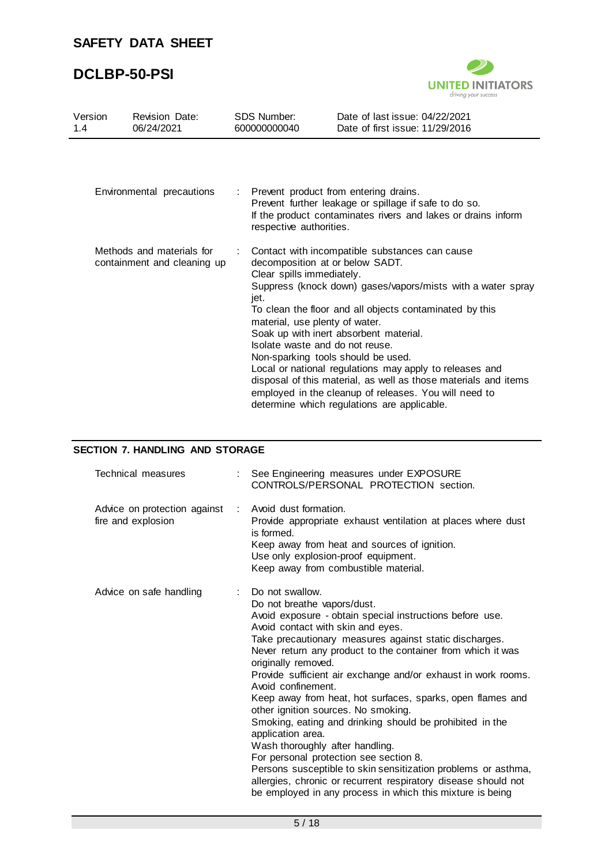## **DCLBP-50-PSI**



| Version<br>1.4 | <b>Revision Date:</b><br>06/24/2021                      |  | <b>SDS Number:</b><br>600000000040                                                                                                                                              | Date of last issue: 04/22/2021<br>Date of first issue: 11/29/2016                                                                                                                                                                                                                                                                                                                                                                                        |
|----------------|----------------------------------------------------------|--|---------------------------------------------------------------------------------------------------------------------------------------------------------------------------------|----------------------------------------------------------------------------------------------------------------------------------------------------------------------------------------------------------------------------------------------------------------------------------------------------------------------------------------------------------------------------------------------------------------------------------------------------------|
|                |                                                          |  |                                                                                                                                                                                 |                                                                                                                                                                                                                                                                                                                                                                                                                                                          |
|                | Environmental precautions                                |  | respective authorities.                                                                                                                                                         | Prevent product from entering drains.<br>Prevent further leakage or spillage if safe to do so.<br>If the product contaminates rivers and lakes or drains inform                                                                                                                                                                                                                                                                                          |
|                | Methods and materials for<br>containment and cleaning up |  | decomposition at or below SADT.<br>Clear spills immediately.<br>jet.<br>material, use plenty of water.<br>Isolate waste and do not reuse.<br>Non-sparking tools should be used. | Contact with incompatible substances can cause<br>Suppress (knock down) gases/vapors/mists with a water spray<br>To clean the floor and all objects contaminated by this<br>Soak up with inert absorbent material.<br>Local or national regulations may apply to releases and<br>disposal of this material, as well as those materials and items<br>employed in the cleanup of releases. You will need to<br>determine which regulations are applicable. |

### **SECTION 7. HANDLING AND STORAGE**

| Technical measures                                 | See Engineering measures under EXPOSURE<br>CONTROLS/PERSONAL PROTECTION section.                                                                                                                                                                                                                                                                                                                                                                                                                                                                                                                                                                                                                                                                                                                                                                          |
|----------------------------------------------------|-----------------------------------------------------------------------------------------------------------------------------------------------------------------------------------------------------------------------------------------------------------------------------------------------------------------------------------------------------------------------------------------------------------------------------------------------------------------------------------------------------------------------------------------------------------------------------------------------------------------------------------------------------------------------------------------------------------------------------------------------------------------------------------------------------------------------------------------------------------|
| Advice on protection against<br>fire and explosion | : Avoid dust formation.<br>Provide appropriate exhaust ventilation at places where dust<br>is formed.<br>Keep away from heat and sources of ignition.<br>Use only explosion-proof equipment.<br>Keep away from combustible material.                                                                                                                                                                                                                                                                                                                                                                                                                                                                                                                                                                                                                      |
| Advice on safe handling                            | Do not swallow.<br>Do not breathe vapors/dust.<br>Avoid exposure - obtain special instructions before use.<br>Avoid contact with skin and eyes.<br>Take precautionary measures against static discharges.<br>Never return any product to the container from which it was<br>originally removed.<br>Provide sufficient air exchange and/or exhaust in work rooms.<br>Avoid confinement.<br>Keep away from heat, hot surfaces, sparks, open flames and<br>other ignition sources. No smoking.<br>Smoking, eating and drinking should be prohibited in the<br>application area.<br>Wash thoroughly after handling.<br>For personal protection see section 8.<br>Persons susceptible to skin sensitization problems or asthma,<br>allergies, chronic or recurrent respiratory disease should not<br>be employed in any process in which this mixture is being |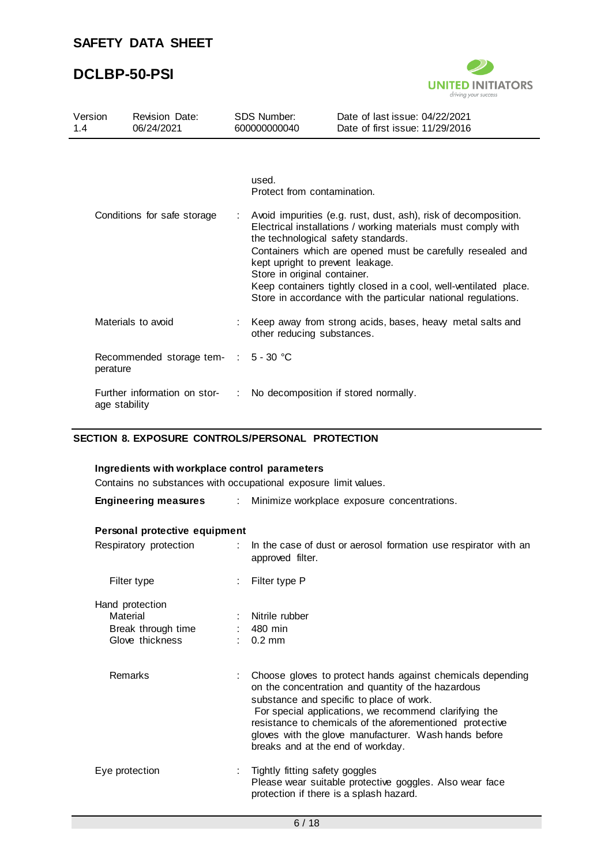

| Version<br>1.4 |                             | <b>Revision Date:</b><br>06/24/2021  |                                                                                                                                                 | <b>SDS Number:</b><br>600000000040                                                      | Date of last issue: 04/22/2021<br>Date of first issue: 11/29/2016                                                                                                                                                                                                                                                                   |  |
|----------------|-----------------------------|--------------------------------------|-------------------------------------------------------------------------------------------------------------------------------------------------|-----------------------------------------------------------------------------------------|-------------------------------------------------------------------------------------------------------------------------------------------------------------------------------------------------------------------------------------------------------------------------------------------------------------------------------------|--|
|                | Conditions for safe storage |                                      | used.<br>Protect from contamination.<br>the technological safety standards.<br>kept upright to prevent leakage.<br>Store in original container. |                                                                                         | Avoid impurities (e.g. rust, dust, ash), risk of decomposition.<br>Electrical installations / working materials must comply with<br>Containers which are opened must be carefully resealed and<br>Keep containers tightly closed in a cool, well-ventilated place.<br>Store in accordance with the particular national regulations. |  |
|                | Materials to avoid          |                                      |                                                                                                                                                 | Keep away from strong acids, bases, heavy metal salts and<br>other reducing substances. |                                                                                                                                                                                                                                                                                                                                     |  |
|                | perature                    | Recommended storage tem- : 5 - 30 °C |                                                                                                                                                 |                                                                                         |                                                                                                                                                                                                                                                                                                                                     |  |
|                | age stability               | Further information on stor-         |                                                                                                                                                 |                                                                                         | No decomposition if stored normally.                                                                                                                                                                                                                                                                                                |  |

## **SECTION 8. EXPOSURE CONTROLS/PERSONAL PROTECTION**

| Ingredients with workplace control parameters                        |                                               |                                                                                                                                                                                                                                                                                                                                                                                 |  |  |  |
|----------------------------------------------------------------------|-----------------------------------------------|---------------------------------------------------------------------------------------------------------------------------------------------------------------------------------------------------------------------------------------------------------------------------------------------------------------------------------------------------------------------------------|--|--|--|
|                                                                      |                                               | Contains no substances with occupational exposure limit values.                                                                                                                                                                                                                                                                                                                 |  |  |  |
| <b>Engineering measures</b>                                          | : Minimize workplace exposure concentrations. |                                                                                                                                                                                                                                                                                                                                                                                 |  |  |  |
| Personal protective equipment                                        |                                               |                                                                                                                                                                                                                                                                                                                                                                                 |  |  |  |
| Respiratory protection                                               | ÷.                                            | In the case of dust or aerosol formation use respirator with an<br>approved filter.                                                                                                                                                                                                                                                                                             |  |  |  |
| Filter type                                                          |                                               | Filter type P                                                                                                                                                                                                                                                                                                                                                                   |  |  |  |
| Hand protection<br>Material<br>Break through time<br>Glove thickness |                                               | Nitrile rubber<br>$: 480$ min<br>$\therefore$ 0.2 mm                                                                                                                                                                                                                                                                                                                            |  |  |  |
| <b>Remarks</b>                                                       |                                               | Choose gloves to protect hands against chemicals depending<br>on the concentration and quantity of the hazardous<br>substance and specific to place of work.<br>For special applications, we recommend clarifying the<br>resistance to chemicals of the aforementioned protective<br>gloves with the glove manufacturer. Wash hands before<br>breaks and at the end of workday. |  |  |  |
| Eye protection                                                       |                                               | Tightly fitting safety goggles<br>Please wear suitable protective goggles. Also wear face<br>protection if there is a splash hazard.                                                                                                                                                                                                                                            |  |  |  |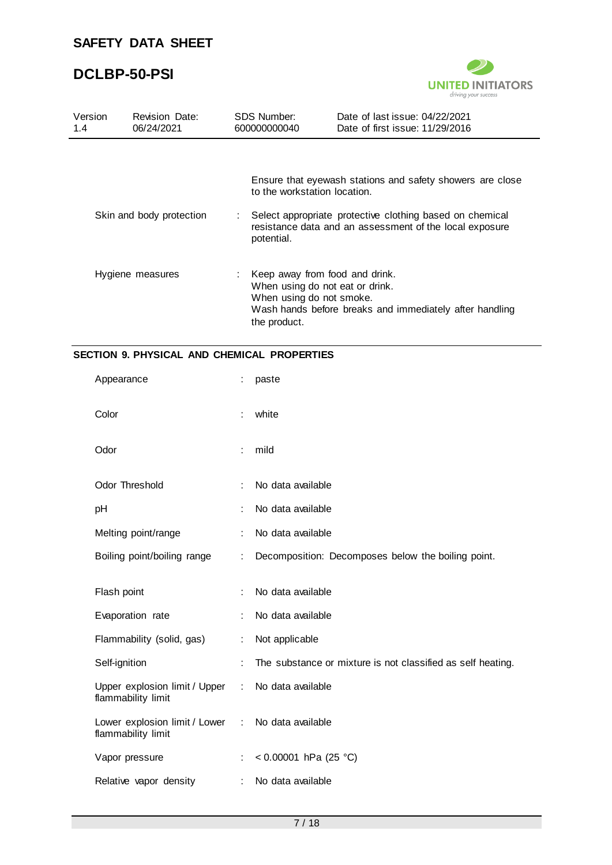

| Version<br>1.4 | Revision Date:<br>06/24/2021 | SDS Number:<br>600000000040                                                  | Date of last issue: 04/22/2021<br>Date of first issue: 11/29/2016                                                     |
|----------------|------------------------------|------------------------------------------------------------------------------|-----------------------------------------------------------------------------------------------------------------------|
|                |                              | to the workstation location.                                                 | Ensure that eyewash stations and safety showers are close                                                             |
|                | Skin and body protection     | potential.                                                                   | : Select appropriate protective clothing based on chemical<br>resistance data and an assessment of the local exposure |
|                | Hygiene measures             | : Keep away from food and drink.<br>When using do not smoke.<br>the product. | When using do not eat or drink.<br>Wash hands before breaks and immediately after handling                            |

#### **SECTION 9. PHYSICAL AND CHEMICAL PROPERTIES**

| Appearance                                          | ÷ | paste                                                       |
|-----------------------------------------------------|---|-------------------------------------------------------------|
| Color                                               | ÷ | white                                                       |
| Odor                                                |   | mild                                                        |
| <b>Odor Threshold</b>                               | ÷ | No data available                                           |
| pH                                                  | ÷ | No data available                                           |
| Melting point/range                                 |   | No data available                                           |
| Boiling point/boiling range                         | ÷ | Decomposition: Decomposes below the boiling point.          |
|                                                     |   |                                                             |
| Flash point                                         |   | No data available                                           |
| Evaporation rate                                    | ÷ | No data available                                           |
| Flammability (solid, gas)                           | ÷ | Not applicable                                              |
| Self-ignition                                       |   | The substance or mixture is not classified as self heating. |
| Upper explosion limit / Upper<br>flammability limit | ÷ | No data available                                           |
| Lower explosion limit / Lower<br>flammability limit |   | : No data available                                         |
| Vapor pressure                                      |   | < $0.00001$ hPa (25 °C)                                     |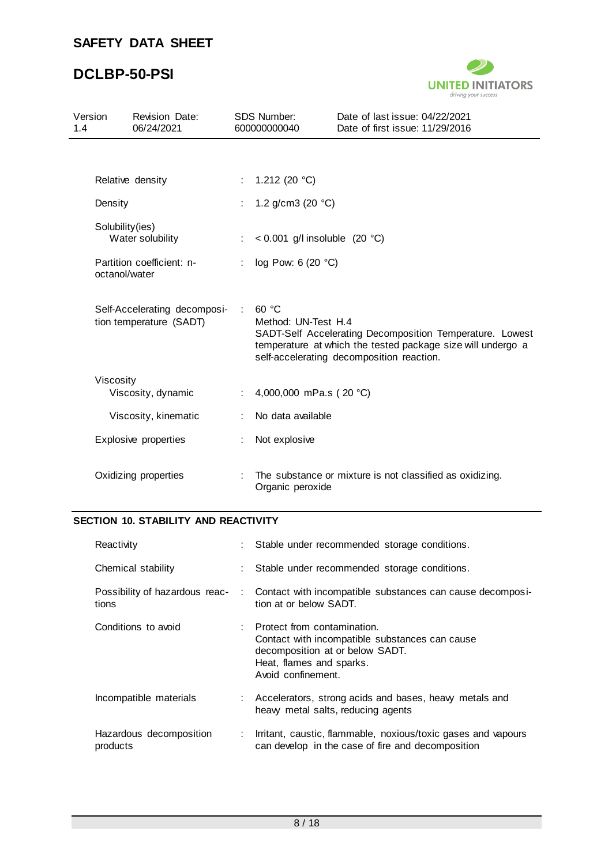# **DCLBP-50-PSI**



| Version<br>1.4 | <b>Revision Date:</b><br>06/24/2021                     |    | <b>SDS Number:</b><br>600000000040 | Date of last issue: 04/22/2021<br>Date of first issue: 11/29/2016                                                                                                    |
|----------------|---------------------------------------------------------|----|------------------------------------|----------------------------------------------------------------------------------------------------------------------------------------------------------------------|
|                | Relative density                                        | t. | 1.212 (20 $°C$ )                   |                                                                                                                                                                      |
|                | Density                                                 |    | 1.2 $g/cm3$ (20 °C)                |                                                                                                                                                                      |
|                | Solubility(ies)<br>Water solubility                     |    | < $0.001$ g/l insoluble (20 °C)    |                                                                                                                                                                      |
|                | Partition coefficient: n-<br>octanol/water              | ÷  | log Pow: 6 (20 °C)                 |                                                                                                                                                                      |
|                | Self-Accelerating decomposi-<br>tion temperature (SADT) |    | 60 °C<br>Method: UN-Test H.4       | SADT-Self Accelerating Decomposition Temperature. Lowest<br>temperature at which the tested package size will undergo a<br>self-accelerating decomposition reaction. |
|                | Viscosity<br>Viscosity, dynamic                         |    | 4,000,000 mPa.s (20 °C)            |                                                                                                                                                                      |
|                | Viscosity, kinematic                                    |    | No data available                  |                                                                                                                                                                      |
|                | Explosive properties                                    |    | Not explosive                      |                                                                                                                                                                      |
|                | Oxidizing properties                                    |    | Organic peroxide                   | The substance or mixture is not classified as oxidizing.                                                                                                             |

### **SECTION 10. STABILITY AND REACTIVITY**

| Reactivity                              |                             | : Stable under recommended storage conditions.                                                                                                                     |
|-----------------------------------------|-----------------------------|--------------------------------------------------------------------------------------------------------------------------------------------------------------------|
| Chemical stability                      |                             | : Stable under recommended storage conditions.                                                                                                                     |
| Possibility of hazardous reac-<br>tions |                             | : Contact with incompatible substances can cause decomposi-<br>tion at or below SADT.                                                                              |
| Conditions to avoid                     |                             | Protect from contamination.<br>Contact with incompatible substances can cause<br>decomposition at or below SADT.<br>Heat, flames and sparks.<br>Avoid confinement. |
| Incompatible materials                  |                             | : Accelerators, strong acids and bases, heavy metals and<br>heavy metal salts, reducing agents                                                                     |
| Hazardous decomposition<br>products     | $\mathcal{L}^{\mathcal{L}}$ | Irritant, caustic, flammable, noxious/toxic gases and vapours<br>can develop in the case of fire and decomposition                                                 |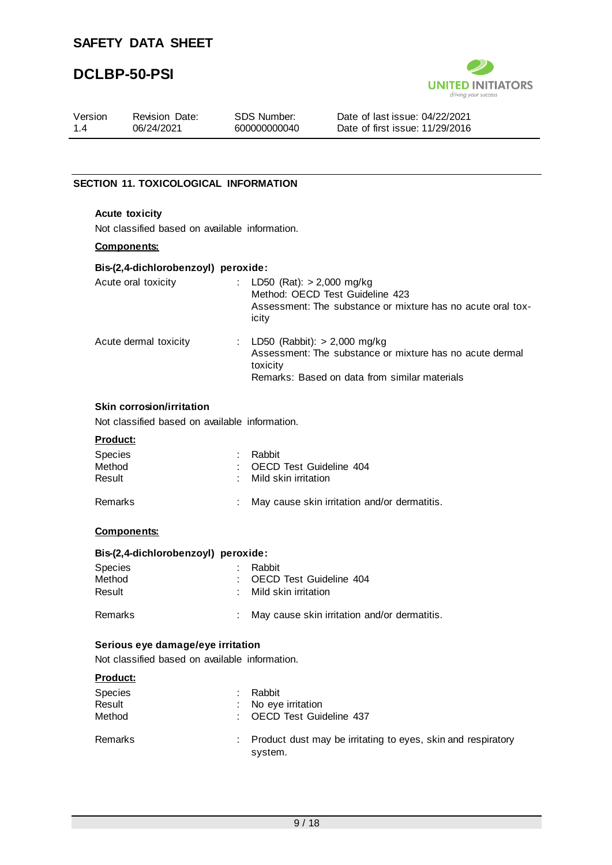# **DCLBP-50-PSI**



| Version<br>1.4 | <b>Revision Date:</b><br>06/24/2021            | SDS Number:<br>600000000040            | Date of last issue: 04/22/2021<br>Date of first issue: 11/29/2016                              |  |
|----------------|------------------------------------------------|----------------------------------------|------------------------------------------------------------------------------------------------|--|
|                |                                                |                                        |                                                                                                |  |
|                | <b>SECTION 11. TOXICOLOGICAL INFORMATION</b>   |                                        |                                                                                                |  |
|                | <b>Acute toxicity</b>                          |                                        |                                                                                                |  |
|                | Not classified based on available information. |                                        |                                                                                                |  |
|                | <b>Components:</b>                             |                                        |                                                                                                |  |
|                | Bis-(2,4-dichlorobenzoyl) peroxide:            |                                        |                                                                                                |  |
|                | Acute oral toxicity                            | : LD50 (Rat): $> 2,000$ mg/kg<br>icity | Method: OECD Test Guideline 423<br>Assessment: The substance or mixture has no acute oral tox- |  |
|                | .                                              |                                        |                                                                                                |  |

Acute dermal toxicity : LD50 (Rabbit): > 2,000 mg/kg Assessment: The substance or mixture has no acute dermal toxicity Remarks: Based on data from similar materials

#### **Skin corrosion/irritation**

Not classified based on available information.

#### **Product:**

| Species<br>Method<br>Result | Rabbit<br>: OECD Test Guideline 404<br>: Mild skin irritation |
|-----------------------------|---------------------------------------------------------------|
| Remarks                     | : May cause skin irritation and/or dermatitis.                |

#### **Components:**

#### **Bis-(2,4-dichlorobenzoyl) peroxide:**

| <b>Species</b> | Rabbit                                         |
|----------------|------------------------------------------------|
| Method         | : OECD Test Guideline 404                      |
| Result         | : Mild skin irritation                         |
| Remarks        | : May cause skin irritation and/or dermatitis. |

#### **Serious eye damage/eye irritation**

Not classified based on available information.

#### **Product:**

| Species<br>Result<br>Method | Rabbit<br>: No eye irritation<br>: OECD Test Guideline 437                |
|-----------------------------|---------------------------------------------------------------------------|
| Remarks                     | : Product dust may be irritating to eyes, skin and respiratory<br>system. |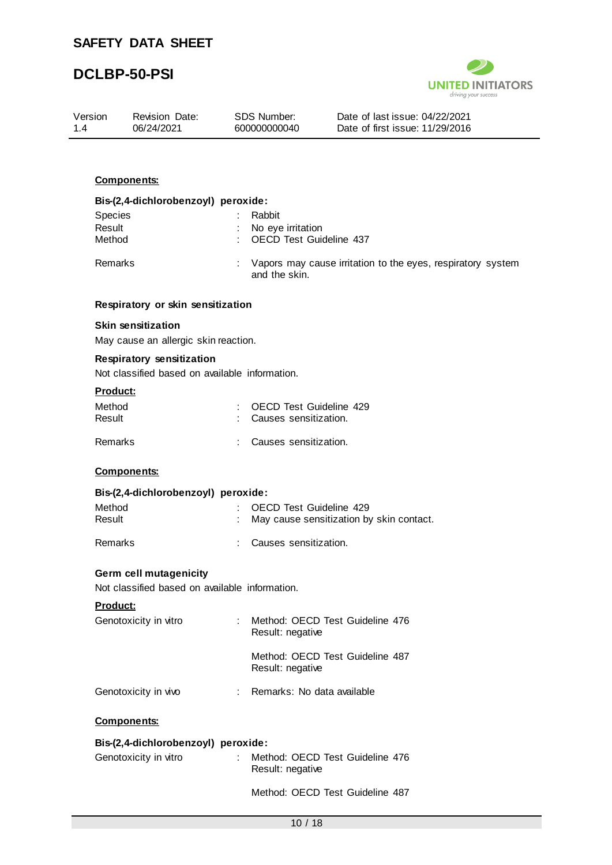

|                |                                                                             |                                                       | driving your success                                              |
|----------------|-----------------------------------------------------------------------------|-------------------------------------------------------|-------------------------------------------------------------------|
| Version<br>1.4 | <b>Revision Date:</b><br>06/24/2021                                         | <b>SDS Number:</b><br>600000000040                    | Date of last issue: 04/22/2021<br>Date of first issue: 11/29/2016 |
|                |                                                                             |                                                       |                                                                   |
|                |                                                                             |                                                       |                                                                   |
|                | <b>Components:</b>                                                          |                                                       |                                                                   |
|                | Bis-(2,4-dichlorobenzoyl) peroxide:                                         |                                                       |                                                                   |
|                | Species                                                                     | Rabbit                                                |                                                                   |
| Result         | Method                                                                      | No eye irritation<br><b>OECD Test Guideline 437</b>   |                                                                   |
|                | Remarks                                                                     | and the skin.                                         | Vapors may cause irritation to the eyes, respiratory system       |
|                | Respiratory or skin sensitization                                           |                                                       |                                                                   |
|                | <b>Skin sensitization</b>                                                   |                                                       |                                                                   |
|                | May cause an allergic skin reaction.                                        |                                                       |                                                                   |
|                | Respiratory sensitization<br>Not classified based on available information. |                                                       |                                                                   |
|                | Product:                                                                    |                                                       |                                                                   |
|                | Method                                                                      | <b>OECD Test Guideline 429</b>                        |                                                                   |
| Result         |                                                                             | Causes sensitization.                                 |                                                                   |
|                | Remarks                                                                     | Causes sensitization.                                 |                                                                   |
|                | <b>Components:</b>                                                          |                                                       |                                                                   |
|                | Bis-(2,4-dichlorobenzoyl) peroxide:                                         |                                                       |                                                                   |
|                | Method                                                                      | OECD Test Guideline 429                               |                                                                   |
| Result         |                                                                             |                                                       | May cause sensitization by skin contact.                          |
|                | Remarks                                                                     | Causes sensitization.                                 |                                                                   |
|                | <b>Germ cell mutagenicity</b>                                               |                                                       |                                                                   |
|                | Not classified based on available information.                              |                                                       |                                                                   |
|                | Product:                                                                    |                                                       |                                                                   |
|                | Genotoxicity in vitro                                                       | : Method: OECD Test Guideline 476<br>Result: negative |                                                                   |
|                |                                                                             | Result: negative                                      | Method: OECD Test Guideline 487                                   |
|                | Genotoxicity in vivo                                                        | Remarks: No data available                            |                                                                   |
|                | <b>Components:</b>                                                          |                                                       |                                                                   |
|                | Bis-(2,4-dichlorobenzoyl) peroxide:                                         |                                                       |                                                                   |
|                | Genotoxicity in vitro                                                       | Method: OECD Test Guideline 476<br>Result: negative   |                                                                   |

Method: OECD Test Guideline 487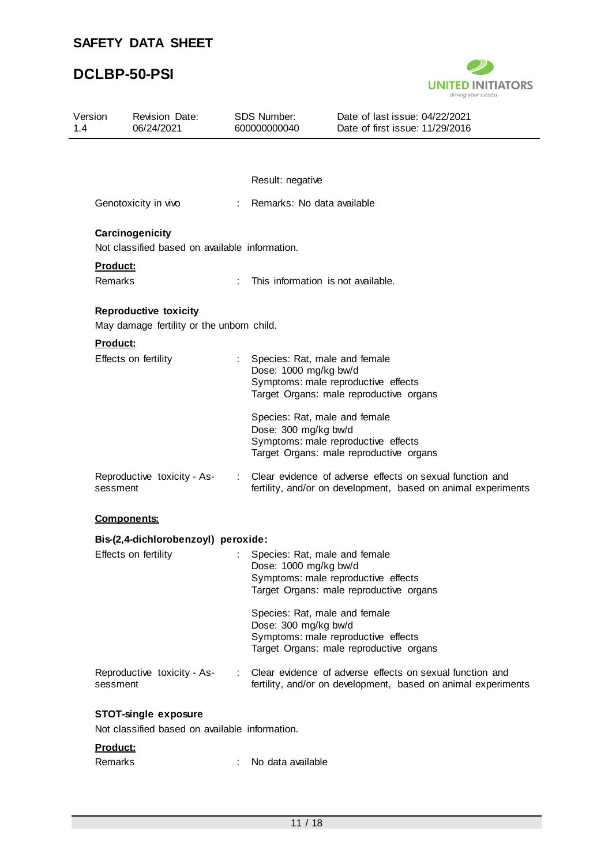## **DCLBP-50-PSI**



| Version             | <b>Revision Date:</b><br>06/24/2021                                       |                             | <b>SDS Number:</b><br>600000000040                       | Date of last issue: 04/22/2021<br>Date of first issue: 11/29/2016                                                         |
|---------------------|---------------------------------------------------------------------------|-----------------------------|----------------------------------------------------------|---------------------------------------------------------------------------------------------------------------------------|
|                     |                                                                           |                             | Result: negative                                         |                                                                                                                           |
|                     | Genotoxicity in vivo                                                      |                             | Remarks: No data available                               |                                                                                                                           |
|                     | Carcinogenicity<br>Not classified based on available information.         |                             |                                                          |                                                                                                                           |
| Product:<br>Remarks |                                                                           | ÷                           | This information is not available.                       |                                                                                                                           |
|                     | <b>Reproductive toxicity</b><br>May damage fertility or the unborn child. |                             |                                                          |                                                                                                                           |
| <b>Product:</b>     |                                                                           |                             |                                                          |                                                                                                                           |
|                     | Effects on fertility                                                      |                             | : Species: Rat, male and female<br>Dose: 1000 mg/kg bw/d | Symptoms: male reproductive effects<br>Target Organs: male reproductive organs                                            |
|                     |                                                                           |                             | Species: Rat, male and female<br>Dose: 300 mg/kg bw/d    | Symptoms: male reproductive effects<br>Target Organs: male reproductive organs                                            |
| sessment            | Reproductive toxicity - As-                                               | $\mathcal{L}^{\mathcal{L}}$ |                                                          | Clear evidence of adverse effects on sexual function and<br>fertility, and/or on development, based on animal experiments |
|                     | <b>Components:</b>                                                        |                             |                                                          |                                                                                                                           |
|                     | Bis-(2,4-dichlorobenzoyl) peroxide:                                       |                             |                                                          |                                                                                                                           |
|                     | Effects on fertility                                                      |                             | Species: Rat, male and female<br>Dose: 1000 mg/kg bw/d   | Symptoms: male reproductive effects<br>Target Organs: male reproductive organs                                            |
|                     |                                                                           |                             | Species: Rat, male and female<br>Dose: 300 mg/kg bw/d    | Symptoms: male reproductive effects<br>Target Organs: male reproductive organs                                            |
|                     |                                                                           |                             |                                                          | Clear evidence of adverse effects on sexual function and                                                                  |

#### **Product:**

| Remarks | No data available |
|---------|-------------------|
|---------|-------------------|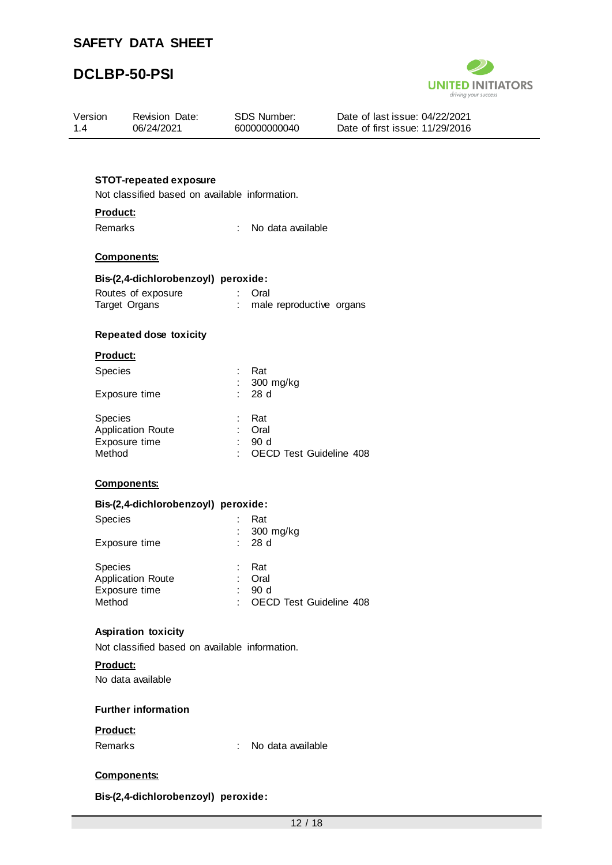## **DCLBP-50-PSI**



| Version<br>1.4 |                                                           | Revision Date:<br>06/24/2021                                                    |                                   | SDS Number:<br>600000000040                    | Date of last issue: 04/22/2021<br>Date of first issue: 11/29/2016 |  |  |
|----------------|-----------------------------------------------------------|---------------------------------------------------------------------------------|-----------------------------------|------------------------------------------------|-------------------------------------------------------------------|--|--|
|                |                                                           |                                                                                 |                                   |                                                |                                                                   |  |  |
|                |                                                           | <b>STOT-repeated exposure</b><br>Not classified based on available information. |                                   |                                                |                                                                   |  |  |
|                | Product:                                                  |                                                                                 |                                   |                                                |                                                                   |  |  |
|                | Remarks<br>÷                                              |                                                                                 |                                   | No data available                              |                                                                   |  |  |
|                | <b>Components:</b><br>Bis-(2,4-dichlorobenzoyl) peroxide: |                                                                                 |                                   |                                                |                                                                   |  |  |
|                |                                                           |                                                                                 |                                   |                                                |                                                                   |  |  |
|                |                                                           | Routes of exposure<br>Target Organs <b>Example 20</b>                           | $\mathcal{L}^{\mathcal{L}}$<br>÷. | Oral<br>male reproductive organs               |                                                                   |  |  |
|                |                                                           | <b>Repeated dose toxicity</b>                                                   |                                   |                                                |                                                                   |  |  |
|                | Product:                                                  |                                                                                 |                                   |                                                |                                                                   |  |  |
|                | Species                                                   |                                                                                 |                                   | Rat<br>300 mg/kg                               |                                                                   |  |  |
|                | Exposure time                                             |                                                                                 |                                   | 28 d                                           |                                                                   |  |  |
|                | Species<br>Exposure time<br>Method                        | Application Route                                                               | ÷.<br>÷                           | Rat<br>Oral<br>90 d<br>OECD Test Guideline 408 |                                                                   |  |  |
|                | <b>Components:</b>                                        |                                                                                 |                                   |                                                |                                                                   |  |  |
|                |                                                           | Bis-(2,4-dichlorobenzoyl) peroxide:                                             |                                   |                                                |                                                                   |  |  |
|                | Species                                                   |                                                                                 |                                   | Rat                                            |                                                                   |  |  |
|                | Exposure time                                             |                                                                                 |                                   | 300 mg/kg<br>28 d                              |                                                                   |  |  |
|                | Species<br>Exposure time<br>Method                        | <b>Application Route</b>                                                        | $\sim 100$                        | Rat<br>Oral<br>90 d<br>OECD Test Guideline 408 |                                                                   |  |  |
|                |                                                           | <b>Aspiration toxicity</b>                                                      |                                   |                                                |                                                                   |  |  |
|                |                                                           | Not classified based on available information.                                  |                                   |                                                |                                                                   |  |  |
|                | Product:                                                  |                                                                                 |                                   |                                                |                                                                   |  |  |
|                |                                                           | No data available                                                               |                                   |                                                |                                                                   |  |  |
|                |                                                           | <b>Further information</b>                                                      |                                   |                                                |                                                                   |  |  |
|                | Product:                                                  |                                                                                 |                                   |                                                |                                                                   |  |  |
|                | Remarks                                                   |                                                                                 | ÷                                 | No data available                              |                                                                   |  |  |
|                | <b>Components:</b>                                        |                                                                                 |                                   |                                                |                                                                   |  |  |

**Bis-(2,4-dichlorobenzoyl) peroxide:**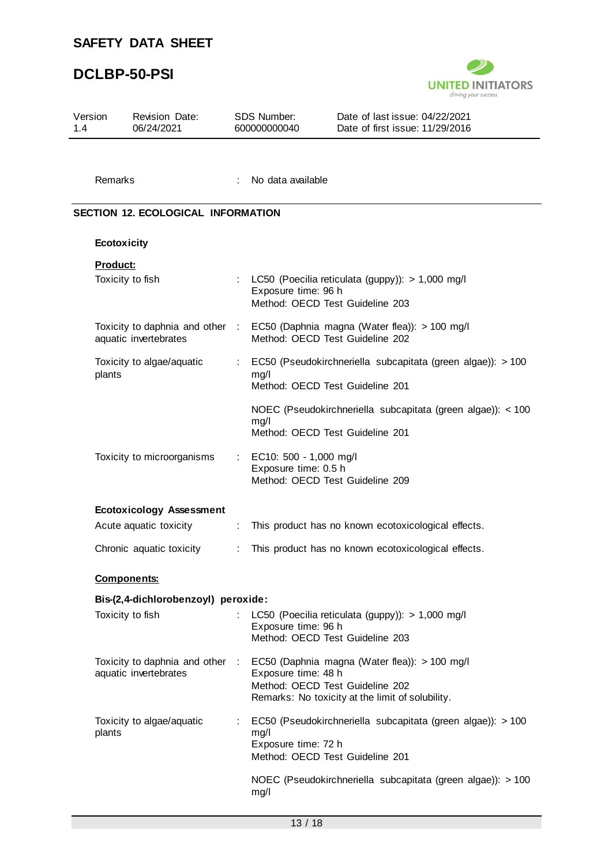## **DCLBP-50-PSI**



| Version<br>1.4 | Revision Date:<br>06/24/2021                             |                              | SDS Number:<br>600000000040                    | Date of last issue: 04/22/2021<br>Date of first issue: 11/29/2016                                                                                                    |
|----------------|----------------------------------------------------------|------------------------------|------------------------------------------------|----------------------------------------------------------------------------------------------------------------------------------------------------------------------|
| Remarks        |                                                          |                              | No data available                              |                                                                                                                                                                      |
|                | <b>SECTION 12. ECOLOGICAL INFORMATION</b>                |                              |                                                |                                                                                                                                                                      |
|                | Ecotoxicity                                              |                              |                                                |                                                                                                                                                                      |
| Product:       |                                                          |                              |                                                |                                                                                                                                                                      |
|                | Toxicity to fish                                         |                              | Exposure time: 96 h                            | LC50 (Poecilia reticulata (guppy)): > 1,000 mg/l<br>Method: OECD Test Guideline 203                                                                                  |
|                | Toxicity to daphnia and other :<br>aquatic invertebrates |                              |                                                | EC50 (Daphnia magna (Water flea)): > 100 mg/l<br>Method: OECD Test Guideline 202                                                                                     |
| plants         | Toxicity to algae/aquatic                                | ÷                            | mg/l                                           | EC50 (Pseudokirchneriella subcapitata (green algae)): > 100<br>Method: OECD Test Guideline 201                                                                       |
|                |                                                          |                              | mg/l                                           | NOEC (Pseudokirchneriella subcapitata (green algae)): < 100<br>Method: OECD Test Guideline 201                                                                       |
|                | Toxicity to microorganisms                               | $\mathcal{L}_{\mathrm{max}}$ | EC10: 500 - 1,000 mg/l<br>Exposure time: 0.5 h | Method: OECD Test Guideline 209                                                                                                                                      |
|                | <b>Ecotoxicology Assessment</b>                          |                              |                                                |                                                                                                                                                                      |
|                | Acute aquatic toxicity                                   | ÷                            |                                                | This product has no known ecotoxicological effects.                                                                                                                  |
|                | Chronic aquatic toxicity                                 | ÷                            |                                                | This product has no known ecotoxicological effects.                                                                                                                  |
|                | <b>Components:</b>                                       |                              |                                                |                                                                                                                                                                      |
|                | Bis-(2,4-dichlorobenzoyl) peroxide:                      |                              |                                                |                                                                                                                                                                      |
|                | Toxicity to fish                                         |                              | Exposure time: 96 h                            | LC50 (Poecilia reticulata (guppy)): > 1,000 mg/l<br>Method: OECD Test Guideline 203                                                                                  |
|                | aquatic invertebrates                                    |                              | Exposure time: 48 h                            | Toxicity to daphnia and other : EC50 (Daphnia magna (Water flea)): > 100 mg/l<br>Method: OECD Test Guideline 202<br>Remarks: No toxicity at the limit of solubility. |
| plants         | Toxicity to algae/aquatic                                |                              | mg/l<br>Exposure time: 72 h                    | EC50 (Pseudokirchneriella subcapitata (green algae)): > 100<br>Method: OECD Test Guideline 201                                                                       |
|                |                                                          |                              | mg/l                                           | NOEC (Pseudokirchneriella subcapitata (green algae)): > 100                                                                                                          |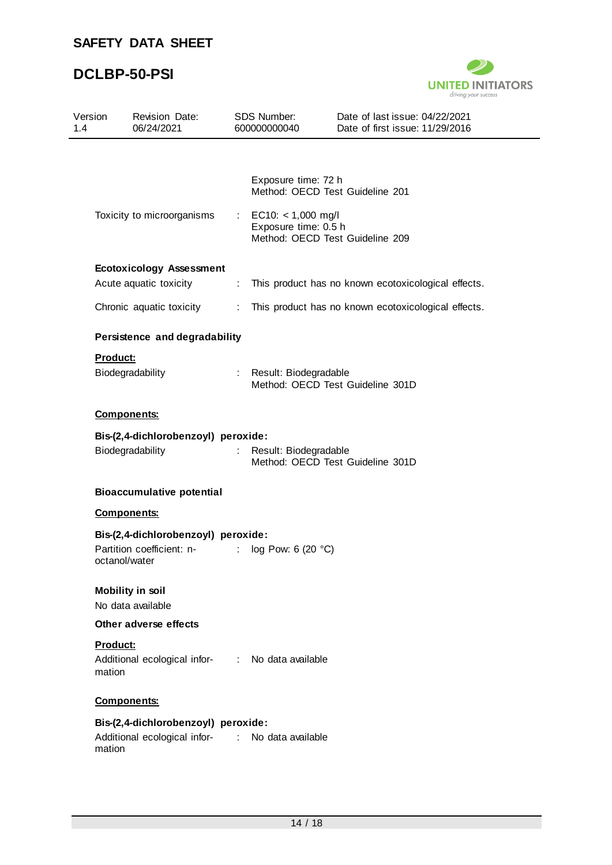## **DCLBP-50-PSI**



| Version<br>1.4                      | Revision Date:<br>06/24/2021                                    |                             | SDS Number:<br>600000000040                    | Date of last issue: 04/22/2021<br>Date of first issue: 11/29/2016 |
|-------------------------------------|-----------------------------------------------------------------|-----------------------------|------------------------------------------------|-------------------------------------------------------------------|
|                                     |                                                                 |                             |                                                |                                                                   |
|                                     |                                                                 |                             | Exposure time: 72 h                            | Method: OECD Test Guideline 201                                   |
|                                     | Toxicity to microorganisms                                      |                             | : EC10: $<$ 1,000 mg/l<br>Exposure time: 0.5 h | Method: OECD Test Guideline 209                                   |
|                                     | <b>Ecotoxicology Assessment</b>                                 |                             |                                                |                                                                   |
|                                     | Acute aquatic toxicity                                          | $\mathcal{L}_{\mathcal{A}}$ |                                                | This product has no known ecotoxicological effects.               |
|                                     | Chronic aquatic toxicity                                        |                             |                                                | : This product has no known ecotoxicological effects.             |
|                                     | Persistence and degradability                                   |                             |                                                |                                                                   |
| <b>Product:</b>                     |                                                                 |                             |                                                |                                                                   |
|                                     | Biodegradability                                                |                             | : Result: Biodegradable                        | Method: OECD Test Guideline 301D                                  |
|                                     | <b>Components:</b>                                              |                             |                                                |                                                                   |
| Bis-(2,4-dichlorobenzoyl) peroxide: |                                                                 |                             |                                                |                                                                   |
|                                     | Biodegradability                                                | $\mathbb{R}^{\mathbb{Z}}$   | Result: Biodegradable                          | Method: OECD Test Guideline 301D                                  |
|                                     | <b>Bioaccumulative potential</b>                                |                             |                                                |                                                                   |
|                                     | <b>Components:</b>                                              |                             |                                                |                                                                   |
|                                     | Bis-(2,4-dichlorobenzoyl) peroxide:                             |                             |                                                |                                                                   |
|                                     | Partition coefficient: n- : log Pow: 6 (20 °C)<br>octanol/water |                             |                                                |                                                                   |
|                                     | <b>Mobility in soil</b>                                         |                             |                                                |                                                                   |
|                                     | No data available                                               |                             |                                                |                                                                   |
|                                     | Other adverse effects                                           |                             |                                                |                                                                   |
| Product:<br>mation                  | Additional ecological infor- : No data available                |                             |                                                |                                                                   |
|                                     | <b>Components:</b>                                              |                             |                                                |                                                                   |
|                                     | Bis-(2,4-dichlorobenzoyl) peroxide:                             |                             |                                                |                                                                   |
|                                     | Additional ecological infor- : No data available                |                             |                                                |                                                                   |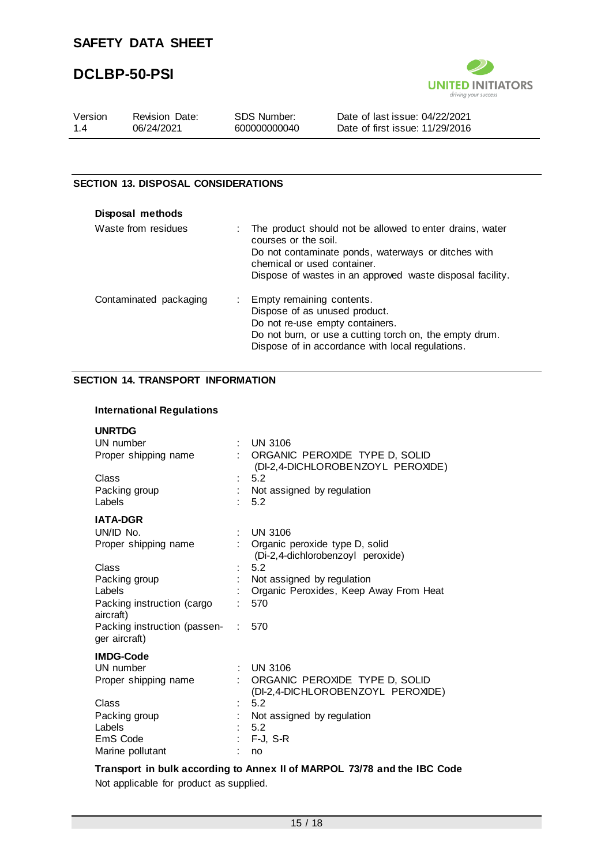# **DCLBP-50-PSI**



| Version | Revision Date: | SDS Number:  | Date of last issue: 04/22/2021  |
|---------|----------------|--------------|---------------------------------|
| 14      | 06/24/2021     | 600000000040 | Date of first issue: 11/29/2016 |

#### **SECTION 13. DISPOSAL CONSIDERATIONS**

| Disposal methods       |    |                                                                                                                                                                                                                                     |
|------------------------|----|-------------------------------------------------------------------------------------------------------------------------------------------------------------------------------------------------------------------------------------|
| Waste from residues    |    | The product should not be allowed to enter drains, water<br>courses or the soil.<br>Do not contaminate ponds, waterways or ditches with<br>chemical or used container.<br>Dispose of wastes in an approved waste disposal facility. |
| Contaminated packaging | ÷. | Empty remaining contents.<br>Dispose of as unused product.<br>Do not re-use empty containers.<br>Do not burn, or use a cutting torch on, the empty drum.<br>Dispose of in accordance with local regulations.                        |

### **SECTION 14. TRANSPORT INFORMATION**

#### **International Regulations**

| <b>UNRTDG</b>                                 |    |                                                                       |
|-----------------------------------------------|----|-----------------------------------------------------------------------|
| UN number                                     |    | <b>UN 3106</b>                                                        |
| Proper shipping name                          |    | : ORGANIC PEROXIDE TYPE D, SOLID<br>(DI-2,4-DICHLOROBENZOYL PEROXIDE) |
| Class                                         |    | 5.2                                                                   |
| Packing group                                 |    | Not assigned by regulation                                            |
| Labels                                        |    | 5.2                                                                   |
| <b>IATA-DGR</b>                               |    |                                                                       |
| UN/ID No.                                     |    | <b>UN 3106</b>                                                        |
| Proper shipping name                          |    | Organic peroxide type D, solid<br>(Di-2,4-dichlorobenzoyl peroxide)   |
| Class                                         |    | 5.2                                                                   |
| Packing group                                 |    | Not assigned by regulation                                            |
| Labels                                        |    | Organic Peroxides, Keep Away From Heat                                |
| Packing instruction (cargo<br>aircraft)       |    | 570                                                                   |
| Packing instruction (passen-<br>ger aircraft) | t. | 570                                                                   |
| <b>IMDG-Code</b>                              |    |                                                                       |
| UN number                                     | ÷. | <b>UN 3106</b>                                                        |
| Proper shipping name                          |    | ORGANIC PEROXIDE TYPE D, SOLID<br>(DI-2,4-DICHLOROBENZOYL PEROXIDE)   |
| Class                                         |    | 5.2                                                                   |
| Packing group                                 |    | Not assigned by regulation                                            |
| Labels                                        |    | 5.2                                                                   |
| EmS Code                                      |    | $F-J, S-R$                                                            |
| Marine pollutant                              |    | no                                                                    |

**Transport in bulk according to Annex II of MARPOL 73/78 and the IBC Code** Not applicable for product as supplied.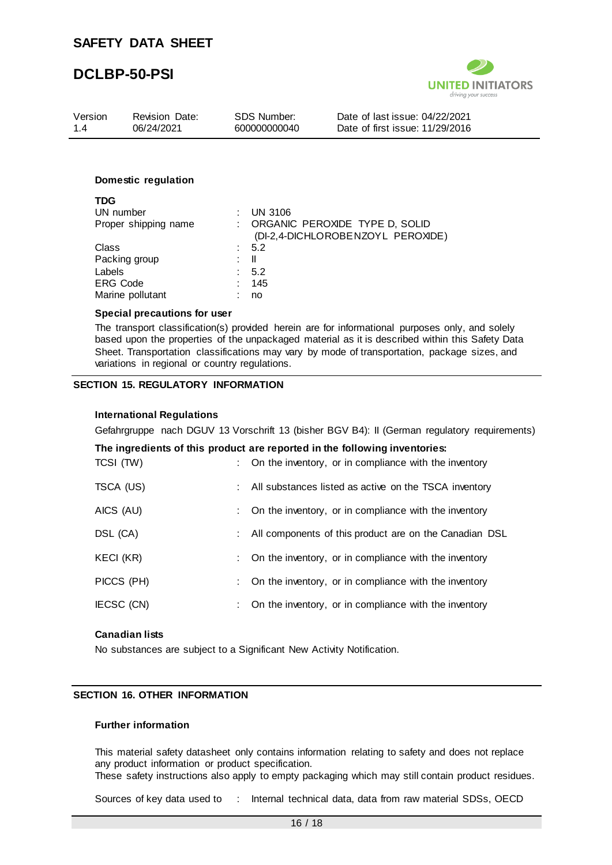

| Version | <b>Revision Date:</b> | SDS Number:  | Date of last issue: 04/22/2021  |
|---------|-----------------------|--------------|---------------------------------|
| 1.4     | 06/24/2021            | 600000000040 | Date of first issue: 11/29/2016 |
|         |                       |              |                                 |

#### **Domestic regulation**

| TDG                  |    |                                   |
|----------------------|----|-----------------------------------|
| UN number            |    | <b>UN 3106</b>                    |
| Proper shipping name |    | : ORGANIC PEROXIDE TYPE D, SOLID  |
|                      |    | (DI-2,4-DICHLOROBENZOYL PEROXIDE) |
| Class                |    | $\therefore$ 5.2                  |
| Packing group        | t. | - 11                              |
| Labels               |    | : 5.2                             |
| <b>ERG Code</b>      |    | 145                               |
| Marine pollutant     |    | no                                |
|                      |    |                                   |

#### **Special precautions for user**

The transport classification(s) provided herein are for informational purposes only, and solely based upon the properties of the unpackaged material as it is described within this Safety Data Sheet. Transportation classifications may vary by mode of transportation, package sizes, and variations in regional or country regulations.

#### **SECTION 15. REGULATORY INFORMATION**

#### **International Regulations**

Gefahrgruppe nach DGUV 13 Vorschrift 13 (bisher BGV B4): II (German regulatory requirements)

#### **The ingredients of this product are reported in the following inventories:**

| TCSI (TW)  | : On the inventory, or in compliance with the inventory |
|------------|---------------------------------------------------------|
| TSCA (US)  | All substances listed as active on the TSCA inventory   |
| AICS (AU)  | On the inventory, or in compliance with the inventory   |
| DSL (CA)   | All components of this product are on the Canadian DSL  |
| KECI (KR)  | On the inventory, or in compliance with the inventory   |
| PICCS (PH) | On the inventory, or in compliance with the inventory   |
| IECSC (CN) | On the inventory, or in compliance with the inventory   |
|            |                                                         |

#### **Canadian lists**

No substances are subject to a Significant New Activity Notification.

#### **SECTION 16. OTHER INFORMATION**

#### **Further information**

This material safety datasheet only contains information relating to safety and does not replace any product information or product specification.

These safety instructions also apply to empty packaging which may still contain product residues.

Sources of key data used to : Internal technical data, data from raw material SDSs, OECD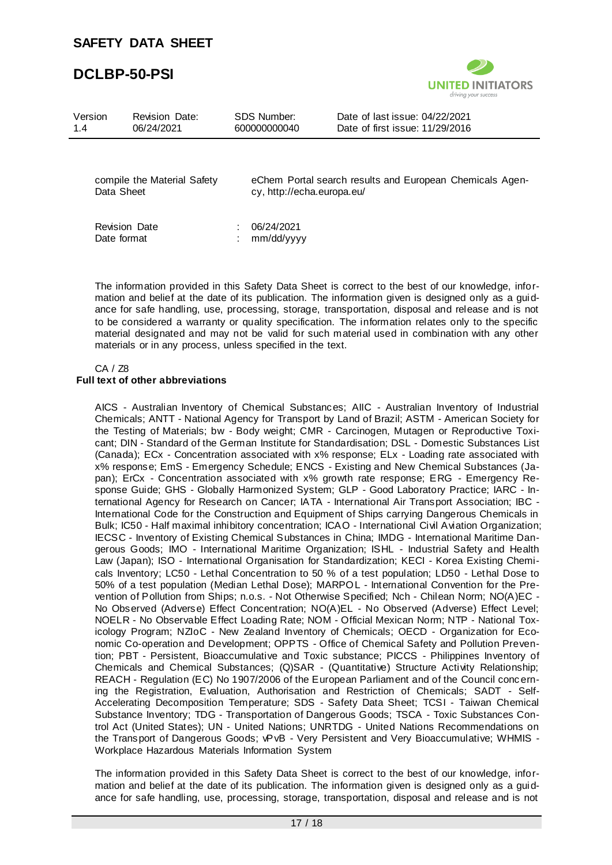# **DCLBP-50-PSI**

Data Sheet



| Version<br>1.4 | <b>Revision Date:</b><br>06/24/2021 | SDS Number:<br>600000000040 | Date of last issue: 04/22/2021<br>Date of first issue: 11/29/2016 |
|----------------|-------------------------------------|-----------------------------|-------------------------------------------------------------------|
|                |                                     |                             |                                                                   |
|                | compile the Material Safety         |                             | eChem Portal search results and European Chemicals Agen-          |

cy, http://echa.europa.eu/

| <b>Revision Date</b> | : 06/24/2021 |
|----------------------|--------------|
| Date format          | : mm/dd/yyyy |

The information provided in this Safety Data Sheet is correct to the best of our knowledge, information and belief at the date of its publication. The information given is designed only as a guidance for safe handling, use, processing, storage, transportation, disposal and release and is not to be considered a warranty or quality specification. The information relates only to the specific material designated and may not be valid for such material used in combination with any other materials or in any process, unless specified in the text.

#### CA / Z8 **Full text of other abbreviations**

AICS - Australian Inventory of Chemical Substances; AIIC - Australian Inventory of Industrial Chemicals; ANTT - National Agency for Transport by Land of Brazil; ASTM - American Society for the Testing of Materials; bw - Body weight; CMR - Carcinogen, Mutagen or Reproductive Toxicant; DIN - Standard of the German Institute for Standardisation; DSL - Domestic Substances List (Canada); ECx - Concentration associated with x% response; ELx - Loading rate associated with x% response; EmS - Emergency Schedule; ENCS - Existing and New Chemical Substances (Japan); ErCx - Concentration associated with x% growth rate response; ERG - Emergency Response Guide; GHS - Globally Harmonized System; GLP - Good Laboratory Practice; IARC - International Agency for Research on Cancer; IATA - International Air Transport Association; IBC - International Code for the Construction and Equipment of Ships carrying Dangerous Chemicals in Bulk; IC50 - Half maximal inhibitory concentration; ICAO - International Civil Aviation Organization; IECSC - Inventory of Existing Chemical Substances in China; IMDG - International Maritime Dangerous Goods; IMO - International Maritime Organization; ISHL - Industrial Safety and Health Law (Japan); ISO - International Organisation for Standardization; KECI - Korea Existing Chemicals Inventory; LC50 - Lethal Concentration to 50 % of a test population; LD50 - Lethal Dose to 50% of a test population (Median Lethal Dose); MARPOL - International Convention for the Prevention of Pollution from Ships; n.o.s. - Not Otherwise Specified; Nch - Chilean Norm; NO(A)EC - No Observed (Adverse) Effect Concentration; NO(A)EL - No Observed (Adverse) Effect Level; NOELR - No Observable Effect Loading Rate; NOM - Official Mexican Norm; NTP - National Toxicology Program; NZIoC - New Zealand Inventory of Chemicals; OECD - Organization for Economic Co-operation and Development; OPPTS - Office of Chemical Safety and Pollution Prevention; PBT - Persistent, Bioaccumulative and Toxic substance; PICCS - Philippines Inventory of Chemicals and Chemical Substances; (Q)SAR - (Quantitative) Structure Activity Relationship; REACH - Regulation (EC) No 1907/2006 of the European Parliament and of the Council concerning the Registration, Evaluation, Authorisation and Restriction of Chemicals; SADT - Self-Accelerating Decomposition Temperature; SDS - Safety Data Sheet; TCSI - Taiwan Chemical Substance Inventory; TDG - Transportation of Dangerous Goods; TSCA - Toxic Substances Control Act (United States); UN - United Nations; UNRTDG - United Nations Recommendations on the Transport of Dangerous Goods; vPvB - Very Persistent and Very Bioaccumulative; WHMIS - Workplace Hazardous Materials Information System

The information provided in this Safety Data Sheet is correct to the best of our knowledge, information and belief at the date of its publication. The information given is designed only as a guidance for safe handling, use, processing, storage, transportation, disposal and release and is not